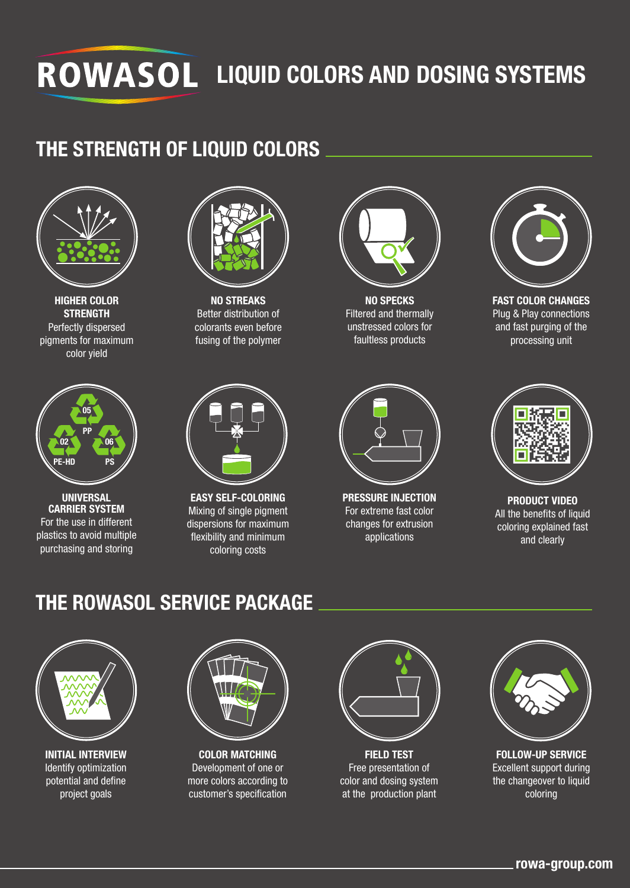## **ROWASOL LIQUID COLORS AND DOSING SYSTEMS**

### **THE STRENGTH OF LIQUID COLORS**



**HIGHER COLOR STRENGTH** Perfectly dispersed pigments for maximum color yield



**UNIVERSAL CARRIER SYSTEM** For the use in different plastics to avoid multiple purchasing and storing



**NO STREAKS** Better distribution of colorants even before fusing of the polymer



**EASY SELF-COLORING** Mixing of single pigment dispersions for maximum flexibility and minimum coloring costs



**NO SPECKS** Filtered and thermally unstressed colors for faultless products



**FAST COLOR CHANGES** Plug & Play connections and fast purging of the processing unit



**PRESSURE INJECTION** For extreme fast color changes for extrusion applications



**PRODUCT VIDEO** All the benefits of liquid coloring explained fast and clearly

### **THE ROWASOL SERVICE PACKAGE**



**INITIAL INTERVIEW** Identify optimization potential and define project goals



**COLOR MATCHING** Development of one or more colors according to customer's specification



**FIELD TEST** Free presentation of color and dosing system at the production plant



**FOLLOW-UP SERVICE** Excellent support during the changeover to liquid coloring